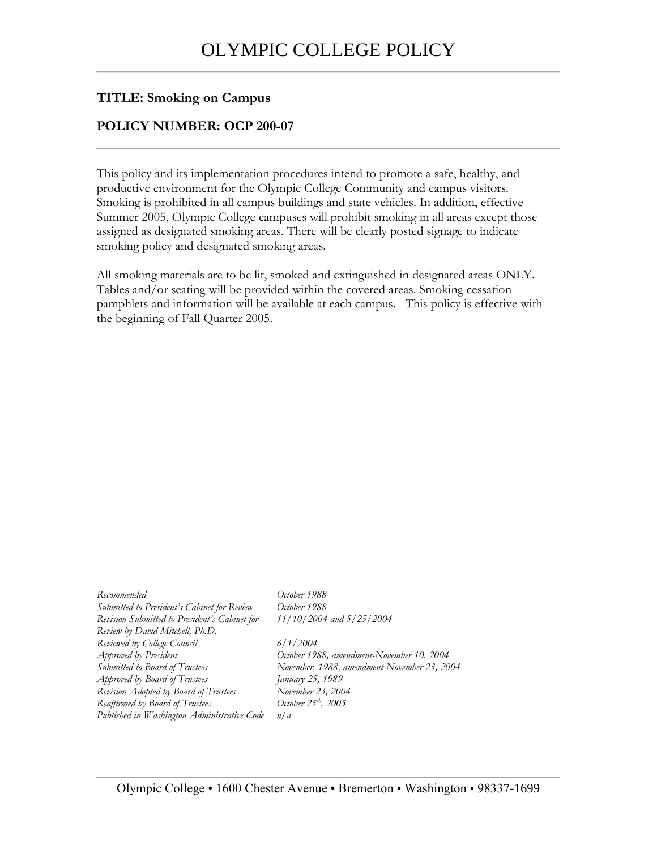## **TITLE: Smoking on Campus**

## **POLICY NUMBER: OCP 200-07**

This policy and its implementation procedures intend to promote a safe, healthy, and productive environment for the Olympic College Community and campus visitors. Smoking is prohibited in all campus buildings and state vehicles. In addition, effective Summer 2005, Olympic College campuses will prohibit smoking in all areas except those assigned as designated smoking areas. There will be clearly posted signage to indicate smoking policy and designated smoking areas.

All smoking materials are to be lit, smoked and extinguished in designated areas ONLY. Tables and/or seating will be provided within the covered areas. Smoking cessation pamphlets and information will be available at each campus. This policy is effective with the beginning of Fall Quarter 2005.

| Recommended                                   | October 1988                                |
|-----------------------------------------------|---------------------------------------------|
| Submitted to President's Cabinet for Review   | October 1988                                |
| Revision Submitted to President's Cabinet for | 11/10/2004 and 5/25/2004                    |
| Review by David Mitchell, Ph.D.               |                                             |
| Reviewed by College Council                   | 6/1/2004                                    |
| Approved by President                         | October 1988, amendment-November 10, 2004   |
| Submitted to Board of Trustees                | November, 1988, amendment-November 23, 2004 |
| Approved by Board of Trustees                 | January 25, 1989                            |
| Revision Adopted by Board of Trustees         | November 23, 2004                           |
| Reaffirmed by Board of Trustees               | October $25th$ , 2005                       |
| Published in Washington Administrative Code   | n/a                                         |